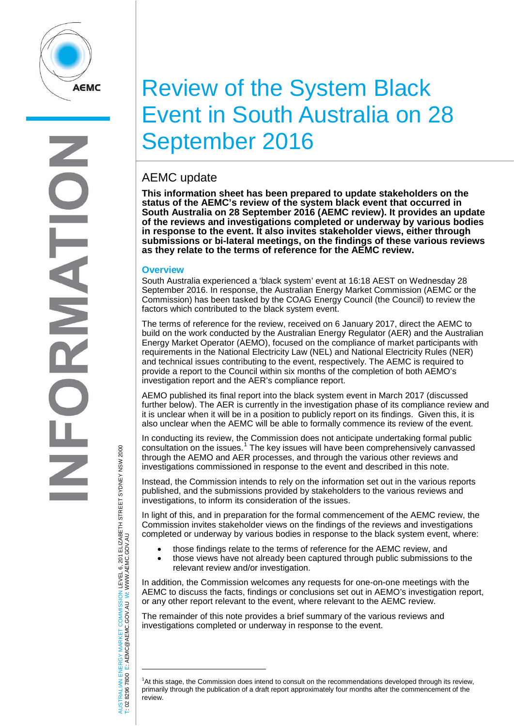

# Review of the System Black Event in South Australia on 28 September 2016

# AEMC update

**This information sheet has been prepared to update stakeholders on the status of the AEMC's review of the system black event that occurred in South Australia on 28 September 2016 (AEMC review). It provides an update of the reviews and investigations completed or underway by various bodies in response to the event. It also invites stakeholder views, either through submissions or bi-lateral meetings, on the findings of these various reviews as they relate to the terms of reference for the AEMC review.**

# **Overview**

South Australia experienced a 'black system' event at 16:18 AEST on Wednesday 28 September 2016. In response, the Australian Energy Market Commission (AEMC or the Commission) has been tasked by the COAG Energy Council (the Council) to review the factors which contributed to the black system event.

The terms of reference for the review, received on 6 January 2017, direct the AEMC to build on the work conducted by the Australian Energy Regulator (AER) and the Australian Energy Market Operator (AEMO), focused on the compliance of market participants with requirements in the National Electricity Law (NEL) and National Electricity Rules (NER) and technical issues contributing to the event, respectively. The AEMC is required to provide a report to the Council within six months of the completion of both AEMO's investigation report and the AER's compliance report.

AEMO published its final report into the black system event in March 2017 (discussed further below). The AER is currently in the investigation phase of its compliance review and it is unclear when it will be in a position to publicly report on its findings. Given this, it is also unclear when the AEMC will be able to formally commence its review of the event.

In conducting its review, the Commission does not anticipate undertaking formal public consultation on the issues.<sup>[1](#page-0-0)</sup> The key issues will have been comprehensively canvassed through the AEMO and AER processes, and through the various other reviews and investigations commissioned in response to the event and described in this note.

Instead, the Commission intends to rely on the information set out in the various reports published, and the submissions provided by stakeholders to the various reviews and investigations, to inform its consideration of the issues.

In light of this, and in preparation for the formal commencement of the AEMC review, the Commission invites stakeholder views on the findings of the reviews and investigations completed or underway by various bodies in response to the black system event, where:

- those findings relate to the terms of reference for the AEMC review, and
- those views have not already been captured through public submissions to the relevant review and/or investigation.

In addition, the Commission welcomes any requests for one-on-one meetings with the AEMC to discuss the facts, findings or conclusions set out in AEMO's investigation report, or any other report relevant to the event, where relevant to the AEMC review.

The remainder of this note provides a brief summary of the various reviews and investigations completed or underway in response to the event.

AUSTRALIAN ENERGY MARKET COMMISSION LEVEL 6, 201 ELIZABETH STREET SYDNEY NSW 2000<br>Γ: 02 8296 7800 E: AEMC@AEMC.GOV.AU W: WWW.AEMC.GOV.AU AUSTRALIAN ENERGY MARKET COMMISSION LEVEL 6, 201 ELIZABETH STREET SYDNEY NSW 2000 W: WWW.AEMC.GOV.AU T: 02 8296 7800 E: AEMC@AEMC.GOV.AU

j

<span id="page-0-0"></span><sup>1</sup> At this stage, the Commission does intend to consult on the recommendations developed through its review, primarily through the publication of a draft report approximately four months after the commencement of the review.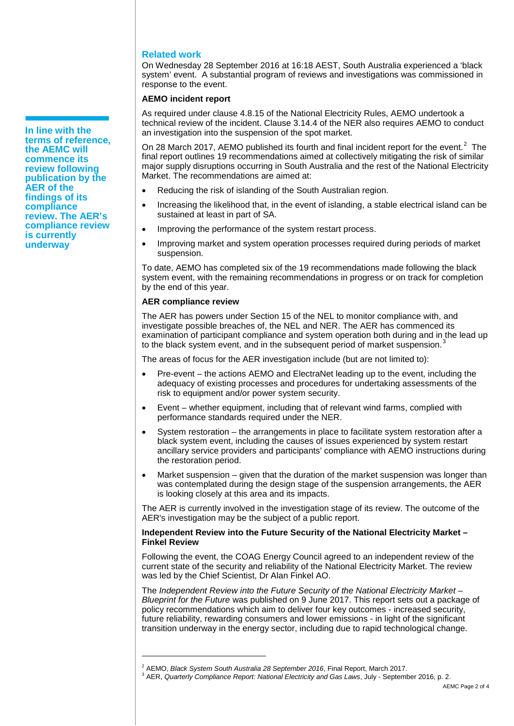# **Related work**

On Wednesday 28 September 2016 at 16:18 AEST, South Australia experienced a 'black system' event. A substantial program of reviews and investigations was commissioned in response to the event.

# **AEMO incident report**

As required under clause 4.8.15 of the National Electricity Rules, AEMO undertook a technical review of the incident. Clause 3.14.4 of the NER also requires AEMO to conduct an investigation into the suspension of the spot market.

On [2](#page-1-0)8 March 2017, AEMO published its fourth and final incident report for the event.<sup>2</sup> The final report outlines 19 recommendations aimed at collectively mitigating the risk of similar major supply disruptions occurring in South Australia and the rest of the National Electricity Market. The recommendations are aimed at:

- Reducing the risk of islanding of the South Australian region.
- Increasing the likelihood that, in the event of islanding, a stable electrical island can be sustained at least in part of SA.
- Improving the performance of the system restart process.
- Improving market and system operation processes required during periods of market suspension.

To date, AEMO has completed six of the 19 recommendations made following the black system event, with the remaining recommendations in progress or on track for completion by the end of this year.

### **AER compliance review**

j

The AER has powers under Section 15 of the NEL to monitor compliance with, and investigate possible breaches of, the NEL and NER. The AER has commenced its examination of participant compliance and system operation both during and in the lead up to the black system event, and in the subsequent period of market suspension.<sup>[3](#page-1-1)</sup>

The areas of focus for the AER investigation include (but are not limited to):

- Pre-event the actions AEMO and ElectraNet leading up to the event, including the adequacy of existing processes and procedures for undertaking assessments of the risk to equipment and/or power system security.
- Event whether equipment, including that of relevant wind farms, complied with performance standards required under the NER.
- System restoration the arrangements in place to facilitate system restoration after a black system event, including the causes of issues experienced by system restart ancillary service providers and participants' compliance with AEMO instructions during the restoration period.
- Market suspension  $-$  given that the duration of the market suspension was longer than was contemplated during the design stage of the suspension arrangements, the AER is looking closely at this area and its impacts.

The AER is currently involved in the investigation stage of its review. The outcome of the AER's investigation may be the subject of a public report.

# **Independent Review into the Future Security of the National Electricity Market – Finkel Review**

Following the event, the COAG Energy Council agreed to an independent review of the current state of the security and reliability of the National Electricity Market. The review was led by the Chief Scientist, Dr Alan Finkel AO.

The *Independent Review into the Future Security of the National Electricity Market – Blueprint for the Future* was published on 9 June 2017. This report sets out a package of policy recommendations which aim to deliver four key outcomes - increased security, future reliability, rewarding consumers and lower emissions - in light of the significant transition underway in the energy sector, including due to rapid technological change.

**In line with the terms of reference, the AEMC will commence its review following publication by the AER of the findings of its compliance review. The AER's compliance review is currently underway**

<span id="page-1-1"></span><span id="page-1-0"></span><sup>&</sup>lt;sup>2</sup> AEMO, *Black System South Australia 28 September 2016*, Final Report, March 2017.<br><sup>3</sup> AER, *Quarterly Compliance Report: National Electricity and Gas Laws, July - September 2016, p. 2.*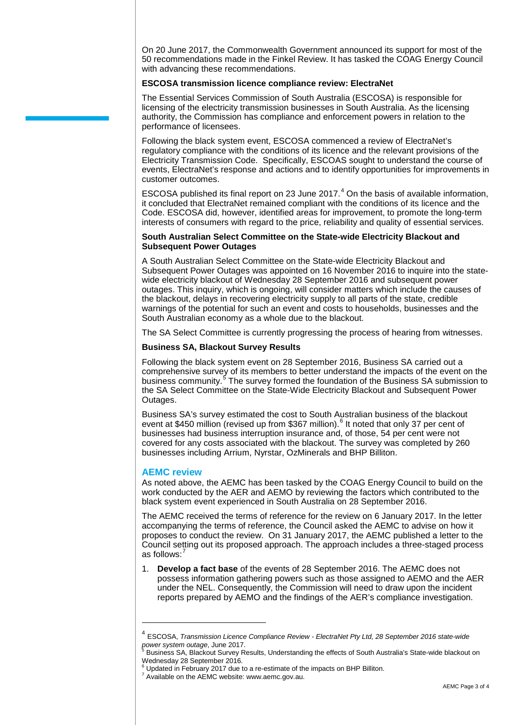On 20 June 2017, the Commonwealth Government announced its support for most of the 50 recommendations made in the Finkel Review. It has tasked the COAG Energy Council with advancing these recommendations.

#### **ESCOSA transmission licence compliance review: ElectraNet**

The Essential Services Commission of South Australia (ESCOSA) is responsible for licensing of the electricity transmission businesses in South Australia. As the licensing authority, the Commission has compliance and enforcement powers in relation to the performance of licensees.

Following the black system event, ESCOSA commenced a review of ElectraNet's regulatory compliance with the conditions of its licence and the relevant provisions of the Electricity Transmission Code. Specifically, ESCOAS sought to understand the course of events, ElectraNet's response and actions and to identify opportunities for improvements in customer outcomes.

ESCOSA published its final report on 23 June  $2017<sup>4</sup>$  $2017<sup>4</sup>$  $2017<sup>4</sup>$  On the basis of available information, it concluded that ElectraNet remained compliant with the conditions of its licence and the Code. ESCOSA did, however, identified areas for improvement, to promote the long-term interests of consumers with regard to the price, reliability and quality of essential services.

#### **South Australian Select Committee on the State-wide Electricity Blackout and Subsequent Power Outages**

A South Australian Select Committee on the State-wide Electricity Blackout and Subsequent Power Outages was appointed on 16 November 2016 to inquire into the statewide electricity blackout of Wednesday 28 September 2016 and subsequent power outages. This inquiry, which is ongoing, will consider matters which include the causes of the blackout, delays in recovering electricity supply to all parts of the state, credible warnings of the potential for such an event and costs to households, businesses and the South Australian economy as a whole due to the blackout.

The SA Select Committee is currently progressing the process of hearing from witnesses.

### **Business SA, Blackout Survey Results**

Following the black system event on 28 September 2016, Business SA carried out a comprehensive survey of its members to better understand the impacts of the event on the business community.<sup>[5](#page-2-1)</sup> The survey formed the foundation of the Business SA submission to the SA Select Committee on the State-Wide Electricity Blackout and Subsequent Power Outages.

Business SA's survey estimated the cost to South Australian business of the blackout event at \$450 million (revised up from \$3[6](#page-2-2)7 million).<sup>6</sup> It noted that only 37 per cent of businesses had business interruption insurance and, of those, 54 per cent were not covered for any costs associated with the blackout. The survey was completed by 260 businesses including Arrium, Nyrstar, OzMinerals and BHP Billiton.

### **AEMC review**

j

As noted above, the AEMC has been tasked by the COAG Energy Council to build on the work conducted by the AER and AEMO by reviewing the factors which contributed to the black system event experienced in South Australia on 28 September 2016.

The AEMC received the terms of reference for the review on 6 January 2017. In the letter accompanying the terms of reference, the Council asked the AEMC to advise on how it proposes to conduct the review. On 31 January 2017, the AEMC published a letter to the Council setting out its proposed approach. The approach includes a three-staged process as follows: $^7$  $^7$ 

1. **Develop a fact base** of the events of 28 September 2016. The AEMC does not possess information gathering powers such as those assigned to AEMO and the AER under the NEL. Consequently, the Commission will need to draw upon the incident reports prepared by AEMO and the findings of the AER's compliance investigation.

<span id="page-2-0"></span><sup>4</sup> ESCOSA, *Transmission Licence Compliance Review - ElectraNet Pty Ltd, 28 September 2016 state-wide* 

Business SA, Blackout Survey Results, Understanding the effects of South Australia's State-wide blackout on Wednesday 28 September 2016.

<span id="page-2-3"></span><span id="page-2-2"></span><span id="page-2-1"></span> $6$  Updated in February 2017 due to a re-estimate of the impacts on BHP Billiton.<br><sup>7</sup> Available on the AEMC website: www.aemc.gov.au.